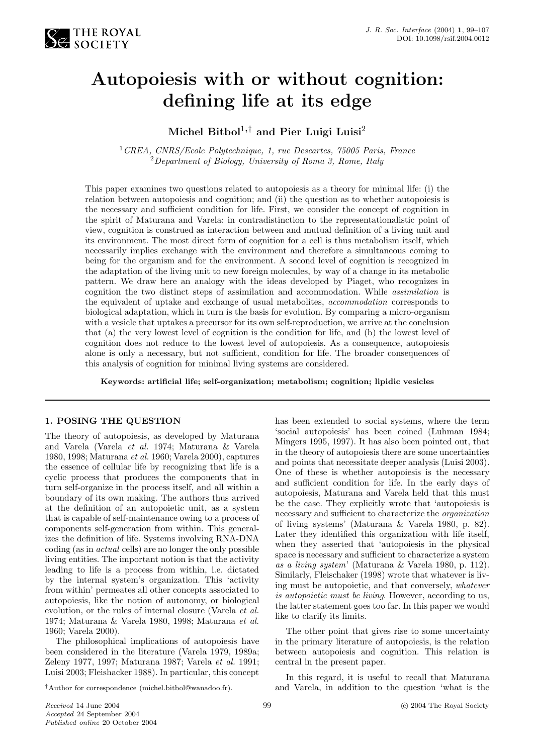# Autopoiesis with or without cognition: defining life at its edge

## Michel Bitbol<sup>1,†</sup> and Pier Luigi Luisi<sup>2</sup>

<sup>1</sup>CREA, CNRS/Ecole Polytechnique, 1, rue Descartes, 75005 Paris, France  $2$ Department of Biology, University of Roma 3, Rome, Italy

This paper examines two questions related to autopoiesis as a theory for minimal life: (i) the relation between autopoiesis and cognition; and (ii) the question as to whether autopoiesis is the necessary and sufficient condition for life. First, we consider the concept of cognition in the spirit of Maturana and Varela: in contradistinction to the representationalistic point of view, cognition is construed as interaction between and mutual definition of a living unit and its environment. The most direct form of cognition for a cell is thus metabolism itself, which necessarily implies exchange with the environment and therefore a simultaneous coming to being for the organism and for the environment. A second level of cognition is recognized in the adaptation of the living unit to new foreign molecules, by way of a change in its metabolic pattern. We draw here an analogy with the ideas developed by Piaget, who recognizes in cognition the two distinct steps of assimilation and accommodation. While assimilation is the equivalent of uptake and exchange of usual metabolites, accommodation corresponds to biological adaptation, which in turn is the basis for evolution. By comparing a micro-organism with a vesicle that uptakes a precursor for its own self-reproduction, we arrive at the conclusion that (a) the very lowest level of cognition is the condition for life, and (b) the lowest level of cognition does not reduce to the lowest level of autopoiesis. As a consequence, autopoiesis alone is only a necessary, but not sufficient, condition for life. The broader consequences of this analysis of cognition for minimal living systems are considered.

Keywords: artificial life; self-organization; metabolism; cognition; lipidic vesicles

#### 1. POSING THE QUESTION

The theory of autopoiesis, as developed by Maturana and Varela (Varela et al. 1974; Maturana & Varela 1980, 1998; Maturana et al. 1960; Varela 2000), captures the essence of cellular life by recognizing that life is a cyclic process that produces the components that in turn self-organize in the process itself, and all within a boundary of its own making. The authors thus arrived at the definition of an autopoietic unit, as a system that is capable of self-maintenance owing to a process of components self-generation from within. This generalizes the definition of life. Systems involving RNA-DNA coding (as in actual cells) are no longer the only possible living entities. The important notion is that the activity leading to life is a process from within, i.e. dictated by the internal system's organization. This 'activity from within' permeates all other concepts associated to autopoiesis, like the notion of autonomy, or biological evolution, or the rules of internal closure (Varela et al. 1974; Maturana & Varela 1980, 1998; Maturana et al. 1960; Varela 2000).

The philosophical implications of autopoiesis have been considered in the literature (Varela 1979, 1989a; Zeleny 1977, 1997; Maturana 1987; Varela et al. 1991; Luisi 2003; Fleishacker 1988). In particular, this concept

†Author for correspondence (michel.bitbol@wanadoo.fr).

has been extended to social systems, where the term 'social autopoiesis' has been coined (Luhman 1984; Mingers 1995, 1997). It has also been pointed out, that in the theory of autopoiesis there are some uncertainties and points that necessitate deeper analysis (Luisi 2003). One of these is whether autopoiesis is the necessary and sufficient condition for life. In the early days of autopoiesis, Maturana and Varela held that this must be the case. They explicitly wrote that 'autopoiesis is necessary and sufficient to characterize the organization of living systems' (Maturana & Varela 1980, p. 82). Later they identified this organization with life itself, when they asserted that 'autopoiesis in the physical space is necessary and sufficient to characterize a system as a living system' (Maturana & Varela 1980, p. 112). Similarly, Fleischaker (1998) wrote that whatever is living must be autopoietic, and that conversely, whatever is autopoietic must be living. However, according to us, the latter statement goes too far. In this paper we would like to clarify its limits.

The other point that gives rise to some uncertainty in the primary literature of autopoiesis, is the relation between autopoiesis and cognition. This relation is central in the present paper.

In this regard, it is useful to recall that Maturana and Varela, in addition to the question 'what is the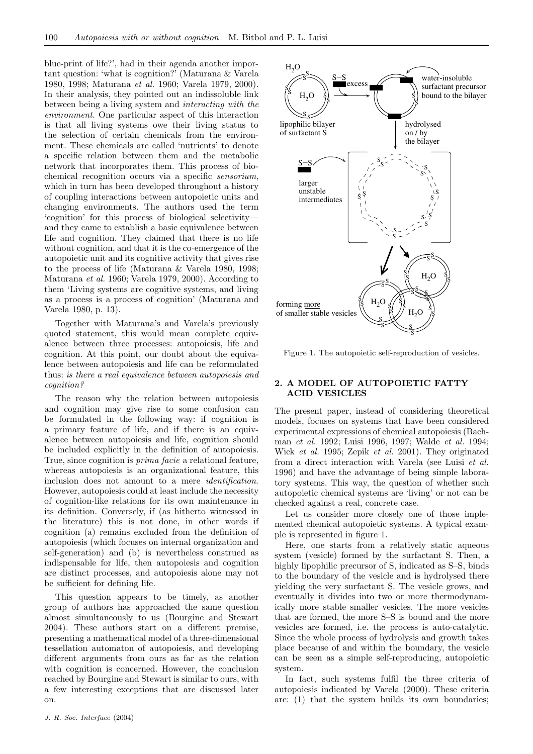blue-print of life?', had in their agenda another important question: 'what is cognition?' (Maturana & Varela 1980, 1998; Maturana et al. 1960; Varela 1979, 2000). In their analysis, they pointed out an indissoluble link between being a living system and interacting with the environment. One particular aspect of this interaction is that all living systems owe their living status to the selection of certain chemicals from the environment. These chemicals are called 'nutrients' to denote a specific relation between them and the metabolic network that incorporates them. This process of biochemical recognition occurs via a specific sensorium, which in turn has been developed throughout a history of coupling interactions between autopoietic units and changing environments. The authors used the term 'cognition' for this process of biological selectivity and they came to establish a basic equivalence between life and cognition. They claimed that there is no life without cognition, and that it is the co-emergence of the autopoietic unit and its cognitive activity that gives rise to the process of life (Maturana & Varela 1980, 1998; Maturana et al. 1960; Varela 1979, 2000). According to them 'Living systems are cognitive systems, and living as a process is a process of cognition' (Maturana and Varela 1980, p. 13).

Together with Maturana's and Varela's previously quoted statement, this would mean complete equivalence between three processes: autopoiesis, life and cognition. At this point, our doubt about the equivalence between autopoiesis and life can be reformulated thus: is there a real equivalence between autopoiesis and cognition?

The reason why the relation between autopoiesis and cognition may give rise to some confusion can be formulated in the following way: if cognition is a primary feature of life, and if there is an equivalence between autopoiesis and life, cognition should be included explicitly in the definition of autopoiesis. True, since cognition is prima facie a relational feature, whereas autopoiesis is an organizational feature, this inclusion does not amount to a mere identification. However, autopoiesis could at least include the necessity of cognition-like relations for its own maintenance in its definition. Conversely, if (as hitherto witnessed in the literature) this is not done, in other words if cognition (a) remains excluded from the definition of autopoiesis (which focuses on internal organization and self-generation) and (b) is nevertheless construed as indispensable for life, then autopoiesis and cognition are distinct processes, and autopoiesis alone may not be sufficient for defining life.

This question appears to be timely, as another group of authors has approached the same question almost simultaneously to us (Bourgine and Stewart 2004). These authors start on a different premise, presenting a mathematical model of a three-dimensional tessellation automaton of autopoiesis, and developing different arguments from ours as far as the relation with cognition is concerned. However, the conclusion reached by Bourgine and Stewart is similar to ours, with a few interesting exceptions that are discussed later on.



Figure 1. The autopoietic self-reproduction of vesicles.

#### 2. A MODEL OF AUTOPOIETIC FATTY ACID VESICLES

The present paper, instead of considering theoretical models, focuses on systems that have been considered experimental expressions of chemical autopoiesis (Bachman et al. 1992; Luisi 1996, 1997; Walde et al. 1994; Wick *et al.* 1995; Zepik *et al.* 2001). They originated from a direct interaction with Varela (see Luisi et al. 1996) and have the advantage of being simple laboratory systems. This way, the question of whether such autopoietic chemical systems are 'living' or not can be checked against a real, concrete case.

Let us consider more closely one of those implemented chemical autopoietic systems. A typical example is represented in figure 1.

Here, one starts from a relatively static aqueous system (vesicle) formed by the surfactant S. Then, a highly lipophilic precursor of S, indicated as S–S, binds to the boundary of the vesicle and is hydrolysed there yielding the very surfactant S. The vesicle grows, and eventually it divides into two or more thermodynamically more stable smaller vesicles. The more vesicles that are formed, the more S–S is bound and the more vesicles are formed, i.e. the process is auto-catalytic. Since the whole process of hydrolysis and growth takes place because of and within the boundary, the vesicle can be seen as a simple self-reproducing, autopoietic system.

In fact, such systems fulfil the three criteria of autopoiesis indicated by Varela (2000). These criteria are: (1) that the system builds its own boundaries;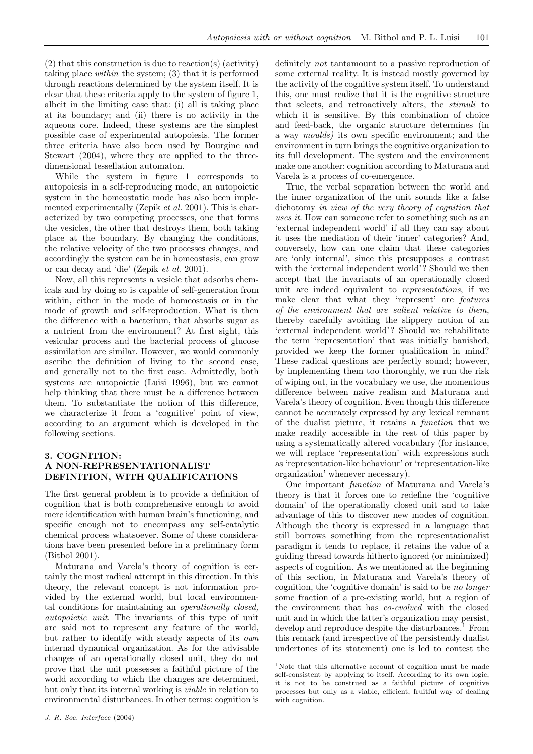(2) that this construction is due to reaction(s) (activity) taking place within the system; (3) that it is performed through reactions determined by the system itself. It is clear that these criteria apply to the system of figure 1, albeit in the limiting case that: (i) all is taking place at its boundary; and (ii) there is no activity in the aqueous core. Indeed, these systems are the simplest possible case of experimental autopoiesis. The former three criteria have also been used by Bourgine and Stewart (2004), where they are applied to the threedimensional tessellation automaton.

While the system in figure 1 corresponds to autopoiesis in a self-reproducing mode, an autopoietic system in the homeostatic mode has also been implemented experimentally (Zepik et al. 2001). This is characterized by two competing processes, one that forms the vesicles, the other that destroys them, both taking place at the boundary. By changing the conditions, the relative velocity of the two processes changes, and accordingly the system can be in homeostasis, can grow or can decay and 'die' (Zepik et al. 2001).

Now, all this represents a vesicle that adsorbs chemicals and by doing so is capable of self-generation from within, either in the mode of homeostasis or in the mode of growth and self-reproduction. What is then the difference with a bacterium, that absorbs sugar as a nutrient from the environment? At first sight, this vesicular process and the bacterial process of glucose assimilation are similar. However, we would commonly ascribe the definition of living to the second case, and generally not to the first case. Admittedly, both systems are autopoietic (Luisi 1996), but we cannot help thinking that there must be a difference between them. To substantiate the notion of this difference, we characterize it from a 'cognitive' point of view, according to an argument which is developed in the following sections.

#### 3. COGNITION: A NON-REPRESENTATIONALIST DEFINITION, WITH QUALIFICATIONS

The first general problem is to provide a definition of cognition that is both comprehensive enough to avoid mere identification with human brain's functioning, and specific enough not to encompass any self-catalytic chemical process whatsoever. Some of these considerations have been presented before in a preliminary form (Bitbol 2001).

Maturana and Varela's theory of cognition is certainly the most radical attempt in this direction. In this theory, the relevant concept is not information provided by the external world, but local environmental conditions for maintaining an operationally closed, autopoietic unit. The invariants of this type of unit are said not to represent any feature of the world, but rather to identify with steady aspects of its own internal dynamical organization. As for the advisable changes of an operationally closed unit, they do not prove that the unit possesses a faithful picture of the world according to which the changes are determined, but only that its internal working is viable in relation to environmental disturbances. In other terms: cognition is

definitely not tantamount to a passive reproduction of some external reality. It is instead mostly governed by the activity of the cognitive system itself. To understand this, one must realize that it is the cognitive structure that selects, and retroactively alters, the stimuli to which it is sensitive. By this combination of choice and feed-back, the organic structure determines (in a way moulds) its own specific environment; and the environment in turn brings the cognitive organization to its full development. The system and the environment make one another: cognition according to Maturana and Varela is a process of co-emergence.

True, the verbal separation between the world and the inner organization of the unit sounds like a false dichotomy in view of the very theory of cognition that uses it. How can someone refer to something such as an 'external independent world' if all they can say about it uses the mediation of their 'inner' categories? And, conversely, how can one claim that these categories are 'only internal', since this presupposes a contrast with the 'external independent world'? Should we then accept that the invariants of an operationally closed unit are indeed equivalent to representations, if we make clear that what they 'represent' are features of the environment that are salient relative to them, thereby carefully avoiding the slippery notion of an 'external independent world'? Should we rehabilitate the term 'representation' that was initially banished, provided we keep the former qualification in mind? These radical questions are perfectly sound; however, by implementing them too thoroughly, we run the risk of wiping out, in the vocabulary we use, the momentous difference between naive realism and Maturana and Varela's theory of cognition. Even though this difference cannot be accurately expressed by any lexical remnant of the dualist picture, it retains a function that we make readily accessible in the rest of this paper by using a systematically altered vocabulary (for instance, we will replace 'representation' with expressions such as 'representation-like behaviour' or 'representation-like organization' whenever necessary).

One important function of Maturana and Varela's theory is that it forces one to redefine the 'cognitive domain' of the operationally closed unit and to take advantage of this to discover new modes of cognition. Although the theory is expressed in a language that still borrows something from the representationalist paradigm it tends to replace, it retains the value of a guiding thread towards hitherto ignored (or minimized) aspects of cognition. As we mentioned at the beginning of this section, in Maturana and Varela's theory of cognition, the 'cognitive domain' is said to be no longer some fraction of a pre-existing world, but a region of the environment that has co-evolved with the closed unit and in which the latter's organization may persist, develop and reproduce despite the disturbances.<sup>1</sup> From this remark (and irrespective of the persistently dualist undertones of its statement) one is led to contest the

<sup>1</sup>Note that this alternative account of cognition must be made self-consistent by applying to itself. According to its own logic, it is not to be construed as a faithful picture of cognitive processes but only as a viable, efficient, fruitful way of dealing with cognition.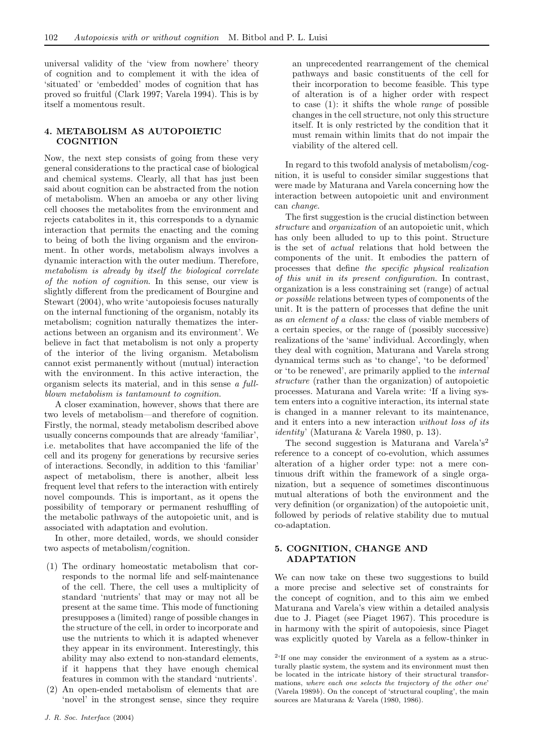universal validity of the 'view from nowhere' theory of cognition and to complement it with the idea of 'situated' or 'embedded' modes of cognition that has proved so fruitful (Clark 1997; Varela 1994). This is by itself a momentous result.

#### 4. METABOLISM AS AUTOPOIETIC **COGNITION**

Now, the next step consists of going from these very general considerations to the practical case of biological and chemical systems. Clearly, all that has just been said about cognition can be abstracted from the notion of metabolism. When an amoeba or any other living cell chooses the metabolites from the environment and rejects catabolites in it, this corresponds to a dynamic interaction that permits the enacting and the coming to being of both the living organism and the environment. In other words, metabolism always involves a dynamic interaction with the outer medium. Therefore, metabolism is already by itself the biological correlate of the notion of cognition. In this sense, our view is slightly different from the predicament of Bourgine and Stewart (2004), who write 'autopoiesis focuses naturally on the internal functioning of the organism, notably its metabolism; cognition naturally thematizes the interactions between an organism and its environment'. We believe in fact that metabolism is not only a property of the interior of the living organism. Metabolism cannot exist permanently without (mutual) interaction with the environment. In this active interaction, the organism selects its material, and in this sense a fullblown metabolism is tantamount to cognition.

A closer examination, however, shows that there are two levels of metabolism—and therefore of cognition. Firstly, the normal, steady metabolism described above usually concerns compounds that are already 'familiar', i.e. metabolites that have accompanied the life of the cell and its progeny for generations by recursive series of interactions. Secondly, in addition to this 'familiar' aspect of metabolism, there is another, albeit less frequent level that refers to the interaction with entirely novel compounds. This is important, as it opens the possibility of temporary or permanent reshuffling of the metabolic pathways of the autopoietic unit, and is associated with adaptation and evolution.

In other, more detailed, words, we should consider two aspects of metabolism/cognition.

- (1) The ordinary homeostatic metabolism that corresponds to the normal life and self-maintenance of the cell. There, the cell uses a multiplicity of standard 'nutrients' that may or may not all be present at the same time. This mode of functioning presupposes a (limited) range of possible changes in the structure of the cell, in order to incorporate and use the nutrients to which it is adapted whenever they appear in its environment. Interestingly, this ability may also extend to non-standard elements, if it happens that they have enough chemical features in common with the standard 'nutrients'.
- (2) An open-ended metabolism of elements that are 'novel' in the strongest sense, since they require

an unprecedented rearrangement of the chemical pathways and basic constituents of the cell for their incorporation to become feasible. This type of alteration is of a higher order with respect to case  $(1)$ : it shifts the whole *range* of possible changes in the cell structure, not only this structure itself. It is only restricted by the condition that it must remain within limits that do not impair the viability of the altered cell.

In regard to this twofold analysis of metabolism/cognition, it is useful to consider similar suggestions that were made by Maturana and Varela concerning how the interaction between autopoietic unit and environment can change.

The first suggestion is the crucial distinction between structure and organization of an autopoietic unit, which has only been alluded to up to this point. Structure is the set of actual relations that hold between the components of the unit. It embodies the pattern of processes that define the specific physical realization of this unit in its present configuration. In contrast, organization is a less constraining set (range) of actual or possible relations between types of components of the unit. It is the pattern of processes that define the unit as an element of a class: the class of viable members of a certain species, or the range of (possibly successive) realizations of the 'same' individual. Accordingly, when they deal with cognition, Maturana and Varela strong dynamical terms such as 'to change', 'to be deformed' or 'to be renewed', are primarily applied to the internal structure (rather than the organization) of autopoietic processes. Maturana and Varela write: 'If a living system enters into a cognitive interaction, its internal state is changed in a manner relevant to its maintenance, and it enters into a new interaction without loss of its identity' (Maturana & Varela 1980, p. 13).

The second suggestion is Maturana and Varela's<sup>2</sup> reference to a concept of co-evolution, which assumes alteration of a higher order type: not a mere continuous drift within the framework of a single organization, but a sequence of sometimes discontinuous mutual alterations of both the environment and the very definition (or organization) of the autopoietic unit, followed by periods of relative stability due to mutual co-adaptation.

#### 5. COGNITION, CHANGE AND ADAPTATION

We can now take on these two suggestions to build a more precise and selective set of constraints for the concept of cognition, and to this aim we embed Maturana and Varela's view within a detailed analysis due to J. Piaget (see Piaget 1967). This procedure is in harmony with the spirit of autopoiesis, since Piaget was explicitly quoted by Varela as a fellow-thinker in

<sup>2</sup>'If one may consider the environment of a system as a structurally plastic system, the system and its environment must then be located in the intricate history of their structural transformations, where each one selects the trajectory of the other one' (Varela 1989b). On the concept of 'structural coupling', the main sources are Maturana & Varela (1980, 1986).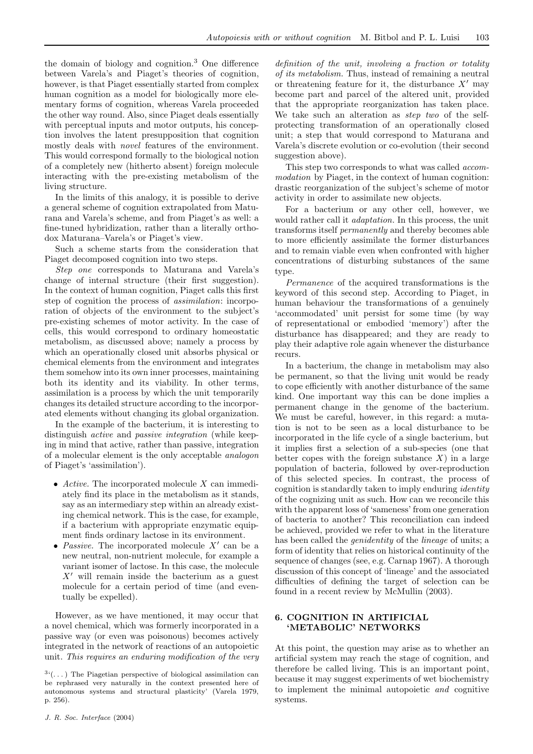the domain of biology and cognition. <sup>3</sup> One difference between Varela's and Piaget's theories of cognition, however, is that Piaget essentially started from complex human cognition as a model for biologically more elementary forms of cognition, whereas Varela proceeded the other way round. Also, since Piaget deals essentially with perceptual inputs and motor outputs, his conception involves the latent presupposition that cognition mostly deals with novel features of the environment. This would correspond formally to the biological notion of a completely new (hitherto absent) foreign molecule interacting with the pre-existing metabolism of the living structure.

In the limits of this analogy, it is possible to derive a general scheme of cognition extrapolated from Maturana and Varela's scheme, and from Piaget's as well: a fine-tuned hybridization, rather than a literally orthodox Maturana–Varela's or Piaget's view.

Such a scheme starts from the consideration that Piaget decomposed cognition into two steps.

Step one corresponds to Maturana and Varela's change of internal structure (their first suggestion). In the context of human cognition, Piaget calls this first step of cognition the process of assimilation: incorporation of objects of the environment to the subject's pre-existing schemes of motor activity. In the case of cells, this would correspond to ordinary homeostatic metabolism, as discussed above; namely a process by which an operationally closed unit absorbs physical or chemical elements from the environment and integrates them somehow into its own inner processes, maintaining both its identity and its viability. In other terms, assimilation is a process by which the unit temporarily changes its detailed structure according to the incorporated elements without changing its global organization.

In the example of the bacterium, it is interesting to distinguish *active* and *passive integration* (while keeping in mind that active, rather than passive, integration of a molecular element is the only acceptable analogon of Piaget's 'assimilation').

- Active. The incorporated molecule  $X$  can immediately find its place in the metabolism as it stands, say as an intermediary step within an already existing chemical network. This is the case, for example, if a bacterium with appropriate enzymatic equipment finds ordinary lactose in its environment.
- Passive. The incorporated molecule  $X'$  can be a new neutral, non-nutrient molecule, for example a variant isomer of lactose. In this case, the molecule  $X'$  will remain inside the bacterium as a guest molecule for a certain period of time (and eventually be expelled).

However, as we have mentioned, it may occur that a novel chemical, which was formerly incorporated in a passive way (or even was poisonous) becomes actively integrated in the network of reactions of an autopoietic unit. This requires an enduring modification of the very

definition of the unit, involving a fraction or totality of its metabolism. Thus, instead of remaining a neutral or threatening feature for it, the disturbance  $X'$  may become part and parcel of the altered unit, provided that the appropriate reorganization has taken place. We take such an alteration as *step two* of the selfprotecting transformation of an operationally closed unit; a step that would correspond to Maturana and Varela's discrete evolution or co-evolution (their second suggestion above).

This step two corresponds to what was called accommodation by Piaget, in the context of human cognition: drastic reorganization of the subject's scheme of motor activity in order to assimilate new objects.

For a bacterium or any other cell, however, we would rather call it adaptation. In this process, the unit transforms itself permanently and thereby becomes able to more efficiently assimilate the former disturbances and to remain viable even when confronted with higher concentrations of disturbing substances of the same type.

Permanence of the acquired transformations is the keyword of this second step. According to Piaget, in human behaviour the transformations of a genuinely 'accommodated' unit persist for some time (by way of representational or embodied 'memory') after the disturbance has disappeared; and they are ready to play their adaptive role again whenever the disturbance recurs.

In a bacterium, the change in metabolism may also be permanent, so that the living unit would be ready to cope efficiently with another disturbance of the same kind. One important way this can be done implies a permanent change in the genome of the bacterium. We must be careful, however, in this regard: a mutation is not to be seen as a local disturbance to be incorporated in the life cycle of a single bacterium, but it implies first a selection of a sub-species (one that better copes with the foreign substance  $X$ ) in a large population of bacteria, followed by over-reproduction of this selected species. In contrast, the process of cognition is standardly taken to imply enduring identity of the cognizing unit as such. How can we reconcile this with the apparent loss of 'sameness' from one generation of bacteria to another? This reconciliation can indeed be achieved, provided we refer to what in the literature has been called the *genidentity* of the *lineage* of units; a form of identity that relies on historical continuity of the sequence of changes (see, e.g. Carnap 1967). A thorough discussion of this concept of 'lineage' and the associated difficulties of defining the target of selection can be found in a recent review by McMullin (2003).

#### 6. COGNITION IN ARTIFICIAL 'METABOLIC' NETWORKS

At this point, the question may arise as to whether an artificial system may reach the stage of cognition, and therefore be called living. This is an important point, because it may suggest experiments of wet biochemistry to implement the minimal autopoietic and cognitive systems.

 $3'(\ldots)$  The Piagetian perspective of biological assimilation can be rephrased very naturally in the context presented here of autonomous systems and structural plasticity' (Varela 1979, p. 256).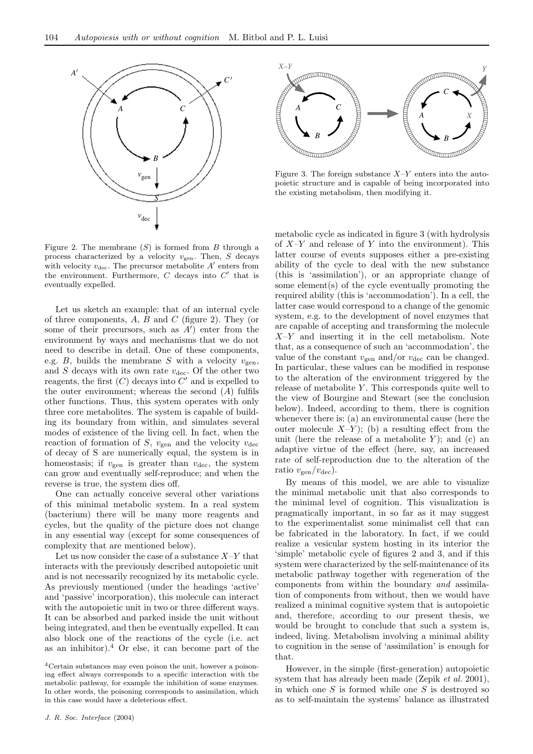

Figure 2. The membrane  $(S)$  is formed from  $B$  through a process characterized by a velocity  $v_{\text{gen}}$ . Then, S decays with velocity  $v_{\text{dec}}$ . The precursor metabolite  $A'$  enters from the environment. Furthermore,  $C$  decays into  $C'$  that is eventually expelled.

Let us sketch an example: that of an internal cycle of three components,  $A, B$  and  $C$  (figure 2). They (or some of their precursors, such as  $A'$  enter from the environment by ways and mechanisms that we do not need to describe in detail. One of these components, e.g. B, builds the membrane S with a velocity  $v_{\text{gen}}$ , and  $S$  decays with its own rate  $v_{\text{dec}}$ . Of the other two reagents, the first  $(C)$  decays into  $C'$  and is expelled to the outer environment; whereas the second  $(A)$  fulfils other functions. Thus, this system operates with only three core metabolites. The system is capable of building its boundary from within, and simulates several modes of existence of the living cell. In fact, when the reaction of formation of S,  $v_{\text{gen}}$  and the velocity  $v_{\text{dec}}$ of decay of S are numerically equal, the system is in homeostasis; if  $v_{\text{gen}}$  is greater than  $v_{\text{dec}}$ , the system can grow and eventually self-reproduce; and when the reverse is true, the system dies off.

One can actually conceive several other variations of this minimal metabolic system. In a real system (bacterium) there will be many more reagents and cycles, but the quality of the picture does not change in any essential way (except for some consequences of complexity that are mentioned below).

Let us now consider the case of a substance  $X-Y$  that interacts with the previously described autopoietic unit and is not necessarily recognized by its metabolic cycle. As previously mentioned (under the headings 'active' and 'passive' incorporation), this molecule can interact with the autopoietic unit in two or three different ways. It can be absorbed and parked inside the unit without being integrated, and then be eventually expelled. It can also block one of the reactions of the cycle (i.e. act as an inhibitor). <sup>4</sup> Or else, it can become part of the



Figure 3. The foreign substance  $X-Y$  enters into the autopoietic structure and is capable of being incorporated into the existing metabolism, then modifying it.

metabolic cycle as indicated in figure 3 (with hydrolysis of  $X-Y$  and release of Y into the environment). This latter course of events supposes either a pre-existing ability of the cycle to deal with the new substance (this is 'assimilation'), or an appropriate change of some element(s) of the cycle eventually promoting the required ability (this is 'accommodation'). In a cell, the latter case would correspond to a change of the genomic system, e.g. to the development of novel enzymes that are capable of accepting and transforming the molecule  $X-Y$  and inserting it in the cell metabolism. Note that, as a consequence of such an 'accommodation', the value of the constant  $v_{\text{gen}}$  and/or  $v_{\text{dec}}$  can be changed. In particular, these values can be modified in response to the alteration of the environment triggered by the release of metabolite  $Y$ . This corresponds quite well to the view of Bourgine and Stewart (see the conclusion below). Indeed, according to them, there is cognition whenever there is: (a) an environmental cause (here the outer molecule  $X-Y$ ; (b) a resulting effect from the unit (here the release of a metabolite  $Y$ ); and (c) an adaptive virtue of the effect (here, say, an increased rate of self-reproduction due to the alteration of the ratio  $v_{\text{gen}}/v_{\text{dec}}$ .

By means of this model, we are able to visualize the minimal metabolic unit that also corresponds to the minimal level of cognition. This visualization is pragmatically important, in so far as it may suggest to the experimentalist some minimalist cell that can be fabricated in the laboratory. In fact, if we could realize a vesicular system hosting in its interior the 'simple' metabolic cycle of figures 2 and 3, and if this system were characterized by the self-maintenance of its metabolic pathway together with regeneration of the components from within the boundary and assimilation of components from without, then we would have realized a minimal cognitive system that is autopoietic and, therefore, according to our present thesis, we would be brought to conclude that such a system is, indeed, living. Metabolism involving a minimal ability to cognition in the sense of 'assimilation' is enough for that.

However, in the simple (first-generation) autopoietic system that has already been made (Zepik *et al.* 2001), in which one  $S$  is formed while one  $S$  is destroyed so as to self-maintain the systems' balance as illustrated

<sup>4</sup>Certain substances may even poison the unit, however a poisoning effect always corresponds to a specific interaction with the metabolic pathway, for example the inhibition of some enzymes. In other words, the poisoning corresponds to assimilation, which in this case would have a deleterious effect.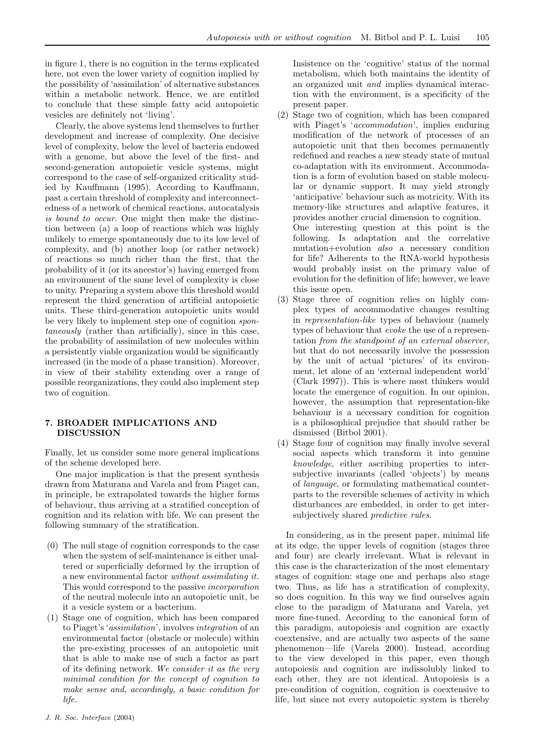in figure 1, there is no cognition in the terms explicated here, not even the lower variety of cognition implied by the possibility of 'assimilation' of alternative substances within a metabolic network. Hence, we are entitled to conclude that these simple fatty acid autopoietic vesicles are definitely not 'living'.

Clearly, the above systems lend themselves to further development and increase of complexity. One decisive level of complexity, below the level of bacteria endowed with a genome, but above the level of the first- and second-generation autopoietic vesicle systems, might correspond to the case of self-organized criticality studied by Kauffmann (1995). According to Kauffmann, past a certain threshold of complexity and interconnectedness of a network of chemical reactions, autocatalysis is bound to occur. One might then make the distinction between (a) a loop of reactions which was highly unlikely to emerge spontaneously due to its low level of complexity, and (b) another loop (or rather network) of reactions so much richer than the first, that the probability of it (or its ancestor's) having emerged from an environment of the same level of complexity is close to unity. Preparing a system above this threshold would represent the third generation of artificial autopoietic units. These third-generation autopoietic units would be very likely to implement step one of cognition spontaneously (rather than artificially), since in this case, the probability of assimilation of new molecules within a persistently viable organization would be significantly increased (in the mode of a phase transition). Moreover, in view of their stability extending over a range of possible reorganizations, they could also implement step two of cognition.

### 7. BROADER IMPLICATIONS AND DISCUSSION

Finally, let us consider some more general implications of the scheme developed here.

One major implication is that the present synthesis drawn from Maturana and Varela and from Piaget can, in principle, be extrapolated towards the higher forms of behaviour, thus arriving at a stratified conception of cognition and its relation with life. We can present the following summary of the stratification.

- (0) The null stage of cognition corresponds to the case when the system of self-maintenance is either unaltered or superficially deformed by the irruption of a new environmental factor without assimilating it. This would correspond to the passive incorporation of the neutral molecule into an autopoietic unit, be it a vesicle system or a bacterium.
- (1) Stage one of cognition, which has been compared to Piaget's 'assimilation', involves integration of an environmental factor (obstacle or molecule) within the pre-existing processes of an autopoietic unit that is able to make use of such a factor as part of its defining network. We consider it as the very minimal condition for the concept of cognition to make sense and, accordingly, a basic condition for life.
- (2) Stage two of cognition, which has been compared with Piaget's 'accommodation', implies enduring modification of the network of processes of an autopoietic unit that then becomes permanently redefined and reaches a new steady state of mutual co-adaptation with its environment. Accommodation is a form of evolution based on stable molecular or dynamic support. It may yield strongly 'anticipative' behaviour such as motricity. With its memory-like structures and adaptive features, it provides another crucial dimension to cognition. One interesting question at this point is the following. Is adaptation and the correlative mutation+evolution also a necessary condition for life? Adherents to the RNA-world hypothesis would probably insist on the primary value of evolution for the definition of life; however, we leave this issue open.
- (3) Stage three of cognition relies on highly complex types of accommodative changes resulting in representation-like types of behaviour (namely types of behaviour that evoke the use of a representation from the standpoint of an external observer, but that do not necessarily involve the possession by the unit of actual 'pictures' of its environment, let alone of an 'external independent world' (Clark 1997)). This is where most thinkers would locate the emergence of cognition. In our opinion, however, the assumption that representation-like behaviour is a necessary condition for cognition is a philosophical prejudice that should rather be dismissed (Bitbol 2001).
- (4) Stage four of cognition may finally involve several social aspects which transform it into genuine knowledge, either ascribing properties to intersubjective invariants (called 'objects') by means of language, or formulating mathematical counterparts to the reversible schemes of activity in which disturbances are embedded, in order to get intersubjectively shared *predictive rules*.

In considering, as in the present paper, minimal life at its edge, the upper levels of cognition (stages three and four) are clearly irrelevant. What is relevant in this case is the characterization of the most elementary stages of cognition: stage one and perhaps also stage two. Thus, as life has a stratification of complexity, so does cognition. In this way we find ourselves again close to the paradigm of Maturana and Varela, yet more fine-tuned. According to the canonical form of this paradigm, autopoiesis and cognition are exactly coextensive, and are actually two aspects of the same phenomenon—life (Varela 2000). Instead, according to the view developed in this paper, even though autopoiesis and cognition are indissolubly linked to each other, they are not identical. Autopoiesis is a pre-condition of cognition, cognition is coextensive to life, but since not every autopoietic system is thereby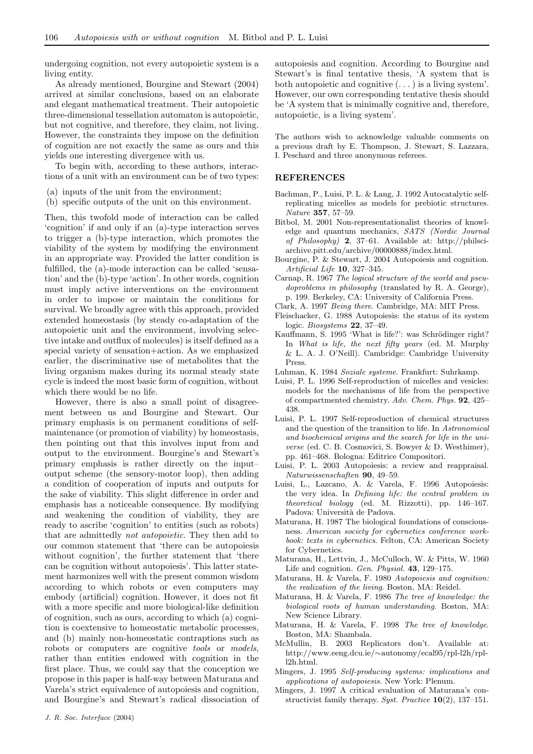undergoing cognition, not every autopoietic system is a living entity.

As already mentioned, Bourgine and Stewart (2004) arrived at similar conclusions, based on an elaborate and elegant mathematical treatment. Their autopoietic three-dimensional tessellation automaton is autopoietic, but not cognitive, and therefore, they claim, not living. However, the constraints they impose on the definition of cognition are not exactly the same as ours and this yields one interesting divergence with us.

To begin with, according to these authors, interactions of a unit with an environment can be of two types:

- (a) inputs of the unit from the environment;
- (b) specific outputs of the unit on this environment.

Then, this twofold mode of interaction can be called 'cognition' if and only if an (a)-type interaction serves to trigger a (b)-type interaction, which promotes the viability of the system by modifying the environment in an appropriate way. Provided the latter condition is fulfilled, the (a)-mode interaction can be called 'sensation' and the (b)-type 'action'. In other words, cognition must imply active interventions on the environment in order to impose or maintain the conditions for survival. We broadly agree with this approach, provided extended homeostasis (by steady co-adaptation of the autopoietic unit and the environment, involving selective intake and outflux of molecules) is itself defined as a special variety of sensation+action. As we emphasized earlier, the discriminative use of metabolites that the living organism makes during its normal steady state cycle is indeed the most basic form of cognition, without which there would be no life.

However, there is also a small point of disagreement between us and Bourgine and Stewart. Our primary emphasis is on permanent conditions of selfmaintenance (or promotion of viability) by homeostasis, then pointing out that this involves input from and output to the environment. Bourgine's and Stewart's primary emphasis is rather directly on the input– output scheme (the sensory-motor loop), then adding a condition of cooperation of inputs and outputs for the sake of viability. This slight difference in order and emphasis has a noticeable consequence. By modifying and weakening the condition of viability, they are ready to ascribe 'cognition' to entities (such as robots) that are admittedly not autopoietic. They then add to our common statement that 'there can be autopoiesis without cognition', the further statement that 'there can be cognition without autopoiesis'. This latter statement harmonizes well with the present common wisdom according to which robots or even computers may embody (artificial) cognition. However, it does not fit with a more specific and more biological-like definition of cognition, such as ours, according to which (a) cognition is coextensive to homeostatic metabolic processes, and (b) mainly non-homeostatic contraptions such as robots or computers are cognitive tools or models, rather than entities endowed with cognition in the first place. Thus, we could say that the conception we propose in this paper is half-way between Maturana and Varela's strict equivalence of autopoiesis and cognition, and Bourgine's and Stewart's radical dissociation of autopoiesis and cognition. According to Bourgine and Stewart's is final tentative thesis, 'A system that is both autopoietic and cognitive (... ) is a living system'. However, our own corresponding tentative thesis should be 'A system that is minimally cognitive and, therefore, autopoietic, is a living system'.

The authors wish to acknowledge valuable comments on a previous draft by E. Thompson, J. Stewart, S. Lazzara, I. Peschard and three anonymous referees.

#### REFERENCES

- Bachman, P., Luisi, P. L. & Lang, J. 1992 Autocatalytic selfreplicating micelles as models for prebiotic structures. Nature 357, 57–59.
- Bitbol, M. 2001 Non-representationalist theories of knowledge and quantum mechanics, SATS (Nordic Journal of Philosophy) 2, 37–61. Available at: http://philsciarchive.pitt.edu/archive/00000888/index.html.
- Bourgine, P. & Stewart, J. 2004 Autopoiesis and cognition. Artificial Life 10, 327–345.
- Carnap, R. 1967 The logical structure of the world and pseudoproblems in philosophy (translated by R. A. George), p. 199. Berkeley, CA: University of California Press.
- Clark, A. 1997 Being there. Cambridge, MA: MIT Press.
- Fleischacker, G. 1988 Autopoiesis: the status of its system logic. Biosystems 22, 37–49.
- Kauffmann, S. 1995 'What is life?': was Schrödinger right? In What is life, the next fifty years (ed. M. Murphy & L. A. J. O'Neill). Cambridge: Cambridge University Press.
- Luhman, K. 1984 Soziale systeme. Frankfurt: Suhrkamp.
- Luisi, P. L. 1996 Self-reproduction of micelles and vesicles: models for the mechanisms of life from the perspective of compartmented chemistry. Adv. Chem. Phys. 92, 425– 438.
- Luisi, P. L. 1997 Self-reproduction of chemical structures and the question of the transition to life. In Astronomical and biochemical origins and the search for life in the universe (ed. C. B. Cosmovici, S. Bowyer & D. Westhimer), pp. 461–468. Bologna: Editrice Compositori.
- Luisi, P. L. 2003 Autopoiesis: a review and reappraisal. Naturwissenschaften 90, 49–59.
- Luisi, L., Lazcano, A. & Varela, F. 1996 Autopoiesis: the very idea. In Defining life: the central problem in theoretical biology (ed. M. Rizzotti), pp. 146–167. Padova: Università de Padova.
- Maturana, H. 1987 The biological foundations of consciousness. American society for cybernetics conference workbook: texts in cybernetics. Felton, CA: American Society for Cybernetics.
- Maturana, H., Lettvin, J., McCulloch, W. & Pitts, W. 1960 Life and cognition. Gen. Physiol. 43, 129–175.
- Maturana, H. & Varela, F. 1980 Autopoiesis and cognition: the realization of the living. Boston, MA: Reidel.
- Maturana, H. & Varela, F. 1986 The tree of knowledge: the biological roots of human understanding. Boston, MA: New Science Library.
- Maturana, H. & Varela, F. 1998 The tree of knowledge. Boston, MA: Shambala.
- McMullin, B. 2003 Replicators don't. Available at: http://www.eeng.dcu.ie/∼autonomy/ecal95/rpl-l2h/rpll2h.html.
- Mingers, J. 1995 Self-producing systems: implications and applications of autopoiesis. New York: Plenum.
- Mingers, J. 1997 A critical evaluation of Maturana's constructivist family therapy. Syst. Practice 10(2), 137–151.